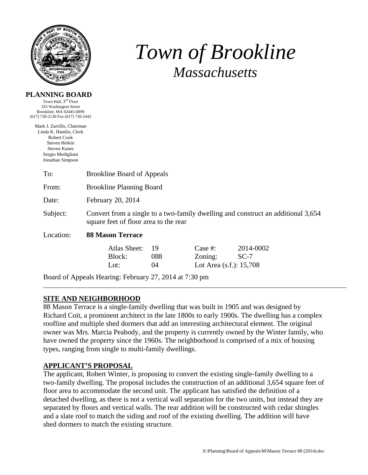

**PLANNING BOARD**  Town Hall, 3<sup>rd</sup> Floor

# *Town of Brookline Massachusetts*

| 333 Washington Street                                                                                                                                       |                                                                                                                           |                 |                                                  |                     |
|-------------------------------------------------------------------------------------------------------------------------------------------------------------|---------------------------------------------------------------------------------------------------------------------------|-----------------|--------------------------------------------------|---------------------|
| Brookline, MA 02445-6899<br>(617) 730-2130 Fax (617) 730-2442                                                                                               |                                                                                                                           |                 |                                                  |                     |
| Mark J. Zarrillo, Chairman<br>Linda K. Hamlin, Clerk<br><b>Robert Cook</b><br>Steven Heikin<br><b>Steven Kanes</b><br>Sergio Modigliani<br>Jonathan Simpson |                                                                                                                           |                 |                                                  |                     |
| To:                                                                                                                                                         | <b>Brookline Board of Appeals</b>                                                                                         |                 |                                                  |                     |
| From:                                                                                                                                                       | <b>Brookline Planning Board</b>                                                                                           |                 |                                                  |                     |
| Date:                                                                                                                                                       | February 20, 2014                                                                                                         |                 |                                                  |                     |
| Subject:                                                                                                                                                    | Convert from a single to a two-family dwelling and construct an additional 3,654<br>square feet of floor area to the rear |                 |                                                  |                     |
| Location:                                                                                                                                                   | <b>88 Mason Terrace</b>                                                                                                   |                 |                                                  |                     |
|                                                                                                                                                             | Atlas Sheet:<br>Block:<br>Lot:                                                                                            | 19<br>088<br>04 | Case $#$ :<br>Zoning:<br>Lot Area (s.f.): 15,708 | 2014-0002<br>$SC-7$ |
|                                                                                                                                                             | Board of Appeals Hearing: February 27, 2014 at 7:30 pm                                                                    |                 |                                                  |                     |

## **SITE AND NEIGHBORHOOD**

88 Mason Terrace is a single-family dwelling that was built in 1905 and was designed by Richard Coit, a prominent architect in the late 1800s to early 1900s. The dwelling has a complex roofline and multiple shed dormers that add an interesting architectural element. The original owner was Mrs. Marcia Peabody, and the property is currently owned by the Winter family, who have owned the property since the 1960s. The neighborhood is comprised of a mix of housing types, ranging from single to multi-family dwellings.

#### **APPLICANT'S PROPOSAL**

The applicant, Robert Winter, is proposing to convert the existing single-family dwelling to a two-family dwelling. The proposal includes the construction of an additional 3,654 square feet of floor area to accommodate the second unit. The applicant has satisfied the definition of a detached dwelling, as there is not a vertical wall separation for the two units, but instead they are separated by floors and vertical walls. The rear addition will be constructed with cedar shingles and a slate roof to match the siding and roof of the existing dwelling. The addition will have shed dormers to match the existing structure.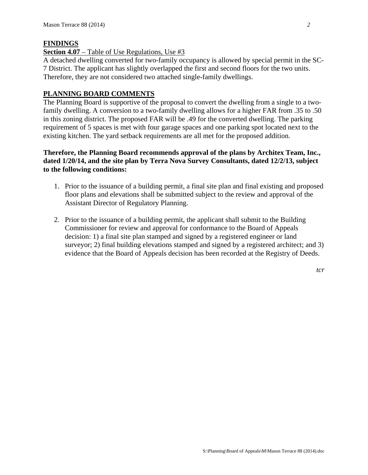#### **FINDINGS**

#### **Section 4.07** – Table of Use Regulations, Use #3

A detached dwelling converted for two-family occupancy is allowed by special permit in the SC-7 District. The applicant has slightly overlapped the first and second floors for the two units. Therefore, they are not considered two attached single-family dwellings.

### **PLANNING BOARD COMMENTS**

The Planning Board is supportive of the proposal to convert the dwelling from a single to a twofamily dwelling. A conversion to a two-family dwelling allows for a higher FAR from .35 to .50 in this zoning district. The proposed FAR will be .49 for the converted dwelling. The parking requirement of 5 spaces is met with four garage spaces and one parking spot located next to the existing kitchen. The yard setback requirements are all met for the proposed addition.

## **Therefore, the Planning Board recommends approval of the plans by Architex Team, Inc., dated 1/20/14, and the site plan by Terra Nova Survey Consultants, dated 12/2/13, subject to the following conditions:**

- 1. Prior to the issuance of a building permit, a final site plan and final existing and proposed floor plans and elevations shall be submitted subject to the review and approval of the Assistant Director of Regulatory Planning.
- 2. Prior to the issuance of a building permit, the applicant shall submit to the Building Commissioner for review and approval for conformance to the Board of Appeals decision: 1) a final site plan stamped and signed by a registered engineer or land surveyor; 2) final building elevations stamped and signed by a registered architect; and 3) evidence that the Board of Appeals decision has been recorded at the Registry of Deeds.

*tcr*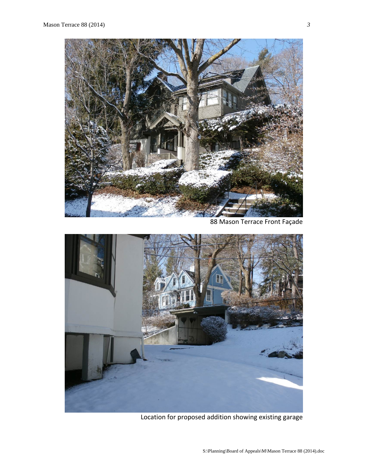

88 Mason Terrace Front Façade



Location for proposed addition showing existing garage